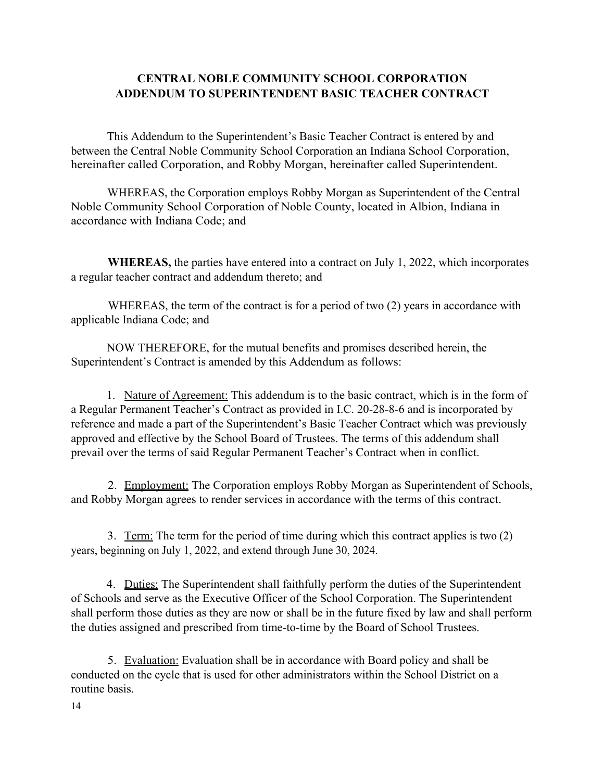## **CENTRAL NOBLE COMMUNITY SCHOOL CORPORATION ADDENDUM TO SUPERINTENDENT BASIC TEACHER CONTRACT**

This Addendum to the Superintendent's Basic Teacher Contract is entered by and between the Central Noble Community School Corporation an Indiana School Corporation, hereinafter called Corporation, and Robby Morgan, hereinafter called Superintendent.

WHEREAS, the Corporation employs Robby Morgan as Superintendent of the Central Noble Community School Corporation of Noble County, located in Albion, Indiana in accordance with Indiana Code; and

**WHEREAS,** the parties have entered into a contract on July 1, 2022, which incorporates a regular teacher contract and addendum thereto; and

WHEREAS, the term of the contract is for a period of two (2) years in accordance with applicable Indiana Code; and

NOW THEREFORE, for the mutual benefits and promises described herein, the Superintendent's Contract is amended by this Addendum as follows:

1. Nature of Agreement: This addendum is to the basic contract, which is in the form of a Regular Permanent Teacher's Contract as provided in I.C. 20-28-8-6 and is incorporated by reference and made a part of the Superintendent's Basic Teacher Contract which was previously approved and effective by the School Board of Trustees. The terms of this addendum shall prevail over the terms of said Regular Permanent Teacher's Contract when in conflict.

2. Employment: The Corporation employs Robby Morgan as Superintendent of Schools, and Robby Morgan agrees to render services in accordance with the terms of this contract.

3. Term: The term for the period of time during which this contract applies is two (2) years, beginning on July 1, 2022, and extend through June 30, 2024.

4. Duties: The Superintendent shall faithfully perform the duties of the Superintendent of Schools and serve as the Executive Officer of the School Corporation. The Superintendent shall perform those duties as they are now or shall be in the future fixed by law and shall perform the duties assigned and prescribed from time-to-time by the Board of School Trustees.

5. Evaluation: Evaluation shall be in accordance with Board policy and shall be conducted on the cycle that is used for other administrators within the School District on a routine basis.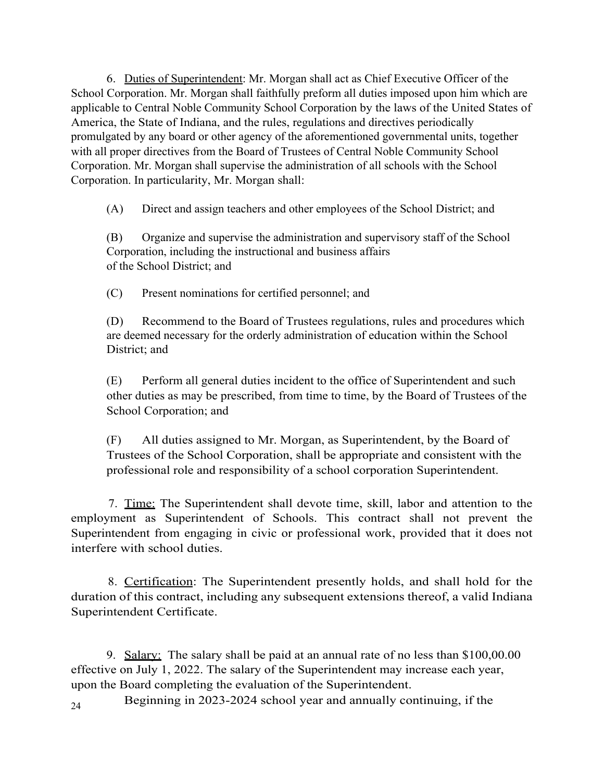6. Duties of Superintendent: Mr. Morgan shall act as Chief Executive Officer of the School Corporation. Mr. Morgan shall faithfully preform all duties imposed upon him which are applicable to Central Noble Community School Corporation by the laws of the United States of America, the State of Indiana, and the rules, regulations and directives periodically promulgated by any board or other agency of the aforementioned governmental units, together with all proper directives from the Board of Trustees of Central Noble Community School Corporation. Mr. Morgan shall supervise the administration of all schools with the School Corporation. In particularity, Mr. Morgan shall:

(A) Direct and assign teachers and other employees of the School District; and

(B) Organize and supervise the administration and supervisory staff of the School Corporation, including the instructional and business affairs of the School District; and

(C) Present nominations for certified personnel; and

(D) Recommend to the Board of Trustees regulations, rules and procedures which are deemed necessary for the orderly administration of education within the School District; and

(E) Perform all general duties incident to the office of Superintendent and such other duties as may be prescribed, from time to time, by the Board of Trustees of the School Corporation; and

(F) All duties assigned to Mr. Morgan, as Superintendent, by the Board of Trustees of the School Corporation, shall be appropriate and consistent with the professional role and responsibility of a school corporation Superintendent.

7. Time: The Superintendent shall devote time, skill, labor and attention to the employment as Superintendent of Schools. This contract shall not prevent the Superintendent from engaging in civic or professional work, provided that it does not interfere with school duties.

8. Certification: The Superintendent presently holds, and shall hold for the duration of this contract, including any subsequent extensions thereof, a valid Indiana Superintendent Certificate.

9. Salary: The salary shall be paid at an annual rate of no less than \$100,00.00 effective on July 1, 2022. The salary of the Superintendent may increase each year, upon the Board completing the evaluation of the Superintendent.

24 Beginning in 2023-2024 school year and annually continuing, if the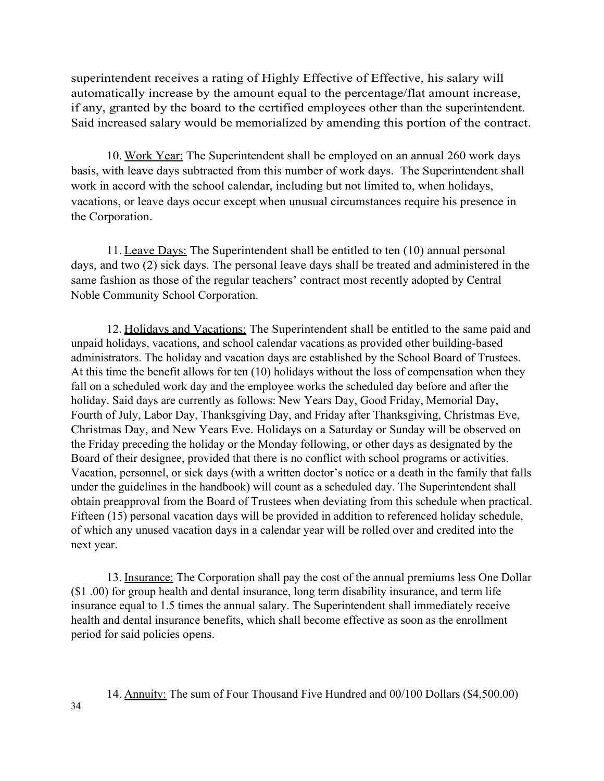superintendent receives a rating of Highly Effective of Effective, his salary will automatically increase by the amount equal to the percentage/flat amount increase, if any, granted by the board to the certified employees other than the superintendent. Said increased salary would be memorialized by amending this portion of the contract.

10. Work Year: The Superintendent shall be employed on an annual 260 work days basis, with leave days subtracted from this number of work days. The Superintendent shall work in accord with the school calendar, including but not limited to, when holidays, vacations, or leave days occur except when unusual circumstances require his presence in the Corporation.

11. Leave Days: The Superintendent shall be entitled to ten (10) annual personal days, and two (2) sick days. The personal leave days shall be treated and administered in the same fashion as those of the regular teachers' contract most recently adopted by Central Noble Community School Corporation.

12. Holidays and Vacations: The Superintendent shall be entitled to the same paid and unpaid holidays, vacations, and school calendar vacations as provided other building-based administrators. The holiday and vacation days are established by the School Board of Trustees. At this time the benefit allows for ten (10) holidays without the loss of compensation when they fall on a scheduled work day and the employee works the scheduled day before and after the holiday. Said days are currently as follows: New Years Day, Good Friday, Memorial Day, Fourth of July, Labor Day, Thanksgiving Day, and Friday after Thanksgiving, Christmas Eve, Christmas Day, and New Years Eve. Holidays on a Saturday or Sunday will be observed on the Friday preceding the holiday or the Monday following, or other days as designated by the Board of their designee, provided that there is no conflict with school programs or activities. Vacation, personnel, or sick days (with a written doctor's notice or a death in the family that falls under the guidelines in the handbook) will count as a scheduled day. The Superintendent shall obtain preapproval from the Board of Trustees when deviating from this schedule when practical. Fifteen (15) personal vacation days will be provided in addition to referenced holiday schedule, of which any unused vacation days in a calendar year will be rolled over and credited into the next year.

13. Insurance: The Corporation shall pay the cost of the annual premiums less One Dollar (\$1 .00) for group health and dental insurance, long term disability insurance, and term life insurance equal to 1.5 times the annual salary. The Superintendent shall immediately receive health and dental insurance benefits, which shall become effective as soon as the enrollment period for said policies opens.

14. Annuity: The sum of Four Thousand Five Hundred and 00/100 Dollars (\$4,500.00)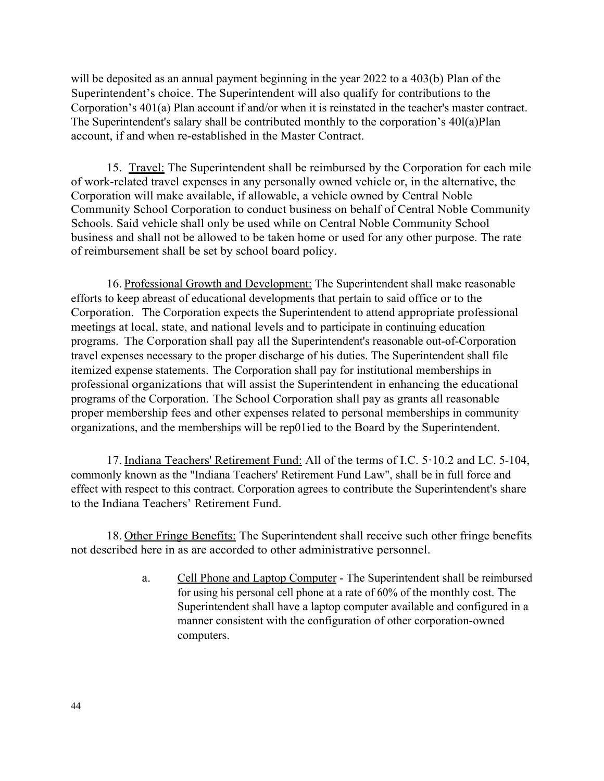will be deposited as an annual payment beginning in the year 2022 to a 403(b) Plan of the Superintendent's choice. The Superintendent will also qualify for contributions to the Corporation's 401(a) Plan account if and/or when it is reinstated in the teacher's master contract. The Superintendent's salary shall be contributed monthly to the corporation's 40l(a)Plan account, if and when re-established in the Master Contract.

15. Travel: The Superintendent shall be reimbursed by the Corporation for each mile of work-related travel expenses in any personally owned vehicle or, in the alternative, the Corporation will make available, if allowable, a vehicle owned by Central Noble Community School Corporation to conduct business on behalf of Central Noble Community Schools. Said vehicle shall only be used while on Central Noble Community School business and shall not be allowed to be taken home or used for any other purpose. The rate of reimbursement shall be set by school board policy.

16. Professional Growth and Development: The Superintendent shall make reasonable efforts to keep abreast of educational developments that pertain to said office or to the Corporation. The Corporation expects the Superintendent to attend appropriate professional meetings at local, state, and national levels and to participate in continuing education programs. The Corporation shall pay all the Superintendent's reasonable out-of-Corporation travel expenses necessary to the proper discharge of his duties. The Superintendent shall file itemized expense statements. The Corporation shall pay for institutional memberships in professional organizations that will assist the Superintendent in enhancing the educational programs of the Corporation. The School Corporation shall pay as grants all reasonable proper membership fees and other expenses related to personal memberships in community organizations, and the memberships will be rep01ied to the Board by the Superintendent.

17. Indiana Teachers' Retirement Fund: All of the terms of I.C. 5.10.2 and LC. 5-104, commonly known as the "Indiana Teachers' Retirement Fund Law", shall be in full force and effect with respect to this contract. Corporation agrees to contribute the Superintendent's share to the Indiana Teachers' Retirement Fund.

18. Other Fringe Benefits: The Superintendent shall receive such other fringe benefits not described here in as are accorded to other administrative personnel.

> a. Cell Phone and Laptop Computer - The Superintendent shall be reimbursed for using his personal cell phone at a rate of 60% of the monthly cost. The Superintendent shall have a laptop computer available and configured in a manner consistent with the configuration of other corporation-owned computers.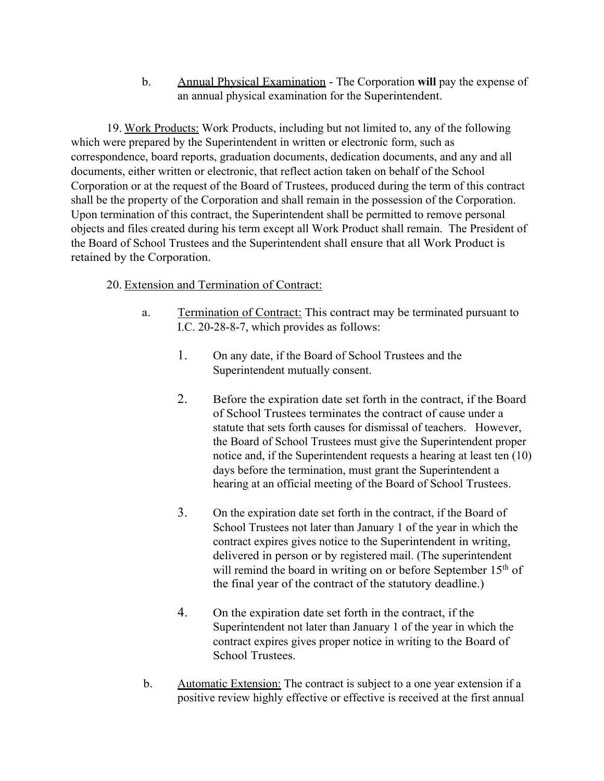b. Annual Physical Examination - The Corporation **will** pay the expense of an annual physical examination for the Superintendent.

19. Work Products: Work Products, including but not limited to, any of the following which were prepared by the Superintendent in written or electronic form, such as correspondence, board reports, graduation documents, dedication documents, and any and all documents, either written or electronic, that reflect action taken on behalf of the School Corporation or at the request of the Board of Trustees, produced during the term of this contract shall be the property of the Corporation and shall remain in the possession of the Corporation. Upon termination of this contract, the Superintendent shall be permitted to remove personal objects and files created during his term except all Work Product shall remain. The President of the Board of School Trustees and the Superintendent shall ensure that all Work Product is retained by the Corporation.

## 20. Extension and Termination of Contract:

- a. Termination of Contract: This contract may be terminated pursuant to I.C. 20-28-8-7, which provides as follows:
	- 1. On any date, if the Board of School Trustees and the Superintendent mutually consent.
	- 2. Before the expiration date set forth in the contract, if the Board of School Trustees terminates the contract of cause under a statute that sets forth causes for dismissal of teachers. However, the Board of School Trustees must give the Superintendent proper notice and, if the Superintendent requests a hearing at least ten (10) days before the termination, must grant the Superintendent a hearing at an official meeting of the Board of School Trustees.
	- 3. On the expiration date set forth in the contract, if the Board of School Trustees not later than January 1 of the year in which the contract expires gives notice to the Superintendent in writing, delivered in person or by registered mail. (The superintendent will remind the board in writing on or before September 15<sup>th</sup> of the final year of the contract of the statutory deadline.)
	- 4. On the expiration date set forth in the contract, if the Superintendent not later than January 1 of the year in which the contract expires gives proper notice in writing to the Board of School Trustees.
- b. Automatic Extension: The contract is subject to a one year extension if a positive review highly effective or effective is received at the first annual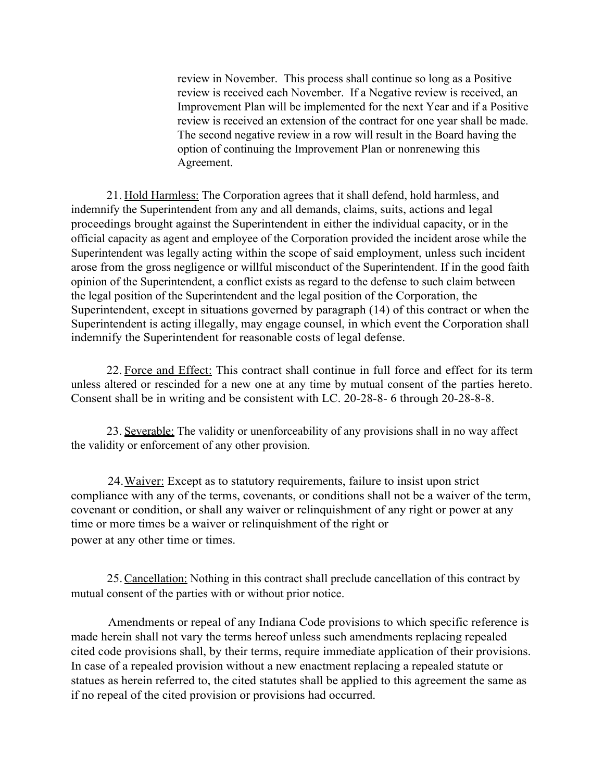review in November. This process shall continue so long as a Positive review is received each November. If a Negative review is received, an Improvement Plan will be implemented for the next Year and if a Positive review is received an extension of the contract for one year shall be made. The second negative review in a row will result in the Board having the option of continuing the Improvement Plan or nonrenewing this Agreement.

21. Hold Harmless: The Corporation agrees that it shall defend, hold harmless, and indemnify the Superintendent from any and all demands, claims, suits, actions and legal proceedings brought against the Superintendent in either the individual capacity, or in the official capacity as agent and employee of the Corporation provided the incident arose while the Superintendent was legally acting within the scope of said employment, unless such incident arose from the gross negligence or willful misconduct of the Superintendent. If in the good faith opinion of the Superintendent, a conflict exists as regard to the defense to such claim between the legal position of the Superintendent and the legal position of the Corporation, the Superintendent, except in situations governed by paragraph (14) of this contract or when the Superintendent is acting illegally, may engage counsel, in which event the Corporation shall indemnify the Superintendent for reasonable costs of legal defense.

22. Force and Effect: This contract shall continue in full force and effect for its term unless altered or rescinded for a new one at any time by mutual consent of the parties hereto. Consent shall be in writing and be consistent with LC. 20-28-8- 6 through 20-28-8-8.

23. Severable: The validity or unenforceability of any provisions shall in no way affect the validity or enforcement of any other provision.

24.Waiver: Except as to statutory requirements, failure to insist upon strict compliance with any of the terms, covenants, or conditions shall not be a waiver of the term, covenant or condition, or shall any waiver or relinquishment of any right or power at any time or more times be a waiver or relinquishment of the right or power at any other time or times.

25.Cancellation: Nothing in this contract shall preclude cancellation of this contract by mutual consent of the parties with or without prior notice.

Amendments or repeal of any Indiana Code provisions to which specific reference is made herein shall not vary the terms hereof unless such amendments replacing repealed cited code provisions shall, by their terms, require immediate application of their provisions. In case of a repealed provision without a new enactment replacing a repealed statute or statues as herein referred to, the cited statutes shall be applied to this agreement the same as if no repeal of the cited provision or provisions had occurred.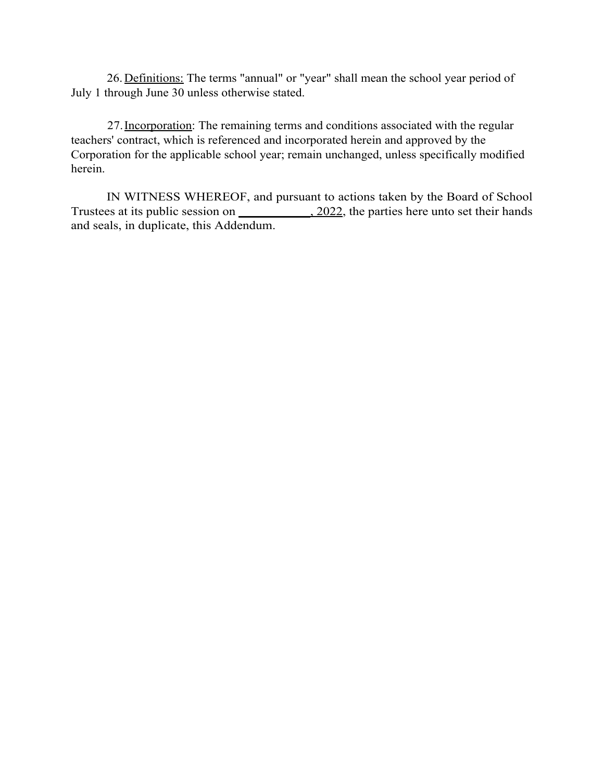26.Definitions: The terms "annual" or "year" shall mean the school year period of July 1 through June 30 unless otherwise stated.

27.Incorporation: The remaining terms and conditions associated with the regular teachers' contract, which is referenced and incorporated herein and approved by the Corporation for the applicable school year; remain unchanged, unless specifically modified herein.

IN WITNESS WHEREOF, and pursuant to actions taken by the Board of School Trustees at its public session on \_\_\_\_\_\_\_\_\_\_\_\_, 2022, the parties here unto set their hands and seals, in duplicate, this Addendum.